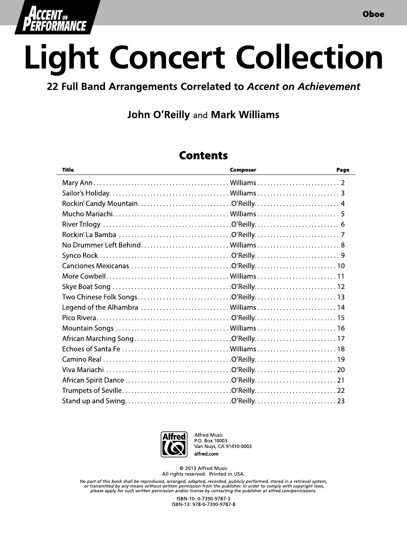

# **Light Concert Collection**

#### 22 Full Band Arrangements Correlated to Accent on Achievement

## **John O'Reilly and Mark Williams**

### **Contents**

| <b>Title</b>                         | Composer | Page |
|--------------------------------------|----------|------|
|                                      |          |      |
|                                      |          |      |
|                                      |          |      |
|                                      |          |      |
|                                      |          |      |
|                                      |          |      |
| No Drummer Left Behind Williams 8    |          |      |
|                                      |          |      |
|                                      |          |      |
|                                      |          |      |
|                                      |          |      |
|                                      |          |      |
| Legend of the Alhambra  Williams  14 |          |      |
|                                      |          |      |
|                                      |          |      |
|                                      |          |      |
|                                      |          |      |
|                                      |          |      |
|                                      |          |      |
|                                      |          |      |
|                                      |          |      |
|                                      |          |      |



Alfred Music P.O. Box 10003 Van Nuys, CA 91410-0003 alfred.com

© 2013 Alfred Music All rights reserved. Printed in USA.

No part of this book shall be reproduced, arranged, adapted, recorded, publicly performed, stored in a retrieval system,<br>or transmitted by any means without written permission from the publisher. In order to comply with co please apply for such written permission and/or license by contacting the publisher at alfred com/permissions.

> ISBN-10: 0-7390-9787-3 ISBN-13: 978-0-7390-9787-8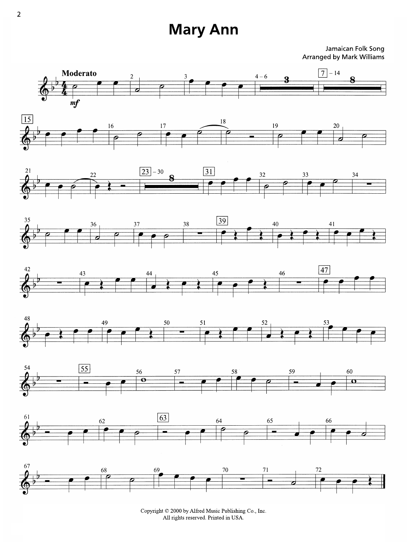## **Mary Ann**

Jamaican Folk Song **Arranged by Mark Williams** 



Copyright © 2000 by Alfred Music Publishing Co., Inc. All rights reserved. Printed in USA.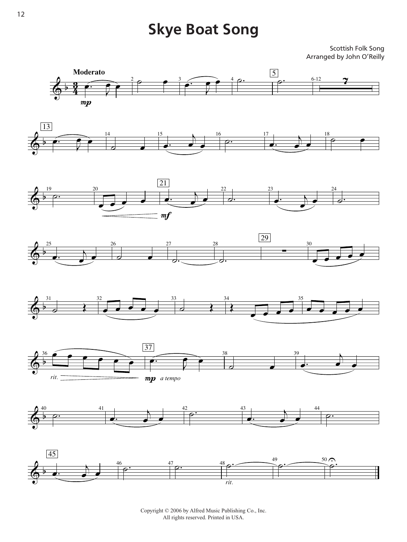## Skye Boat Song **Skye Boat Song**

Scottish Folk Song Scottish Folk Song Arranged by John O'Reilly



Copyright © 2006 by Alfred Music Publishing Co., Inc. *To purchase a full-length recording of this piece, go to alfred.com/downloads* All rights reserved. Printed in USA.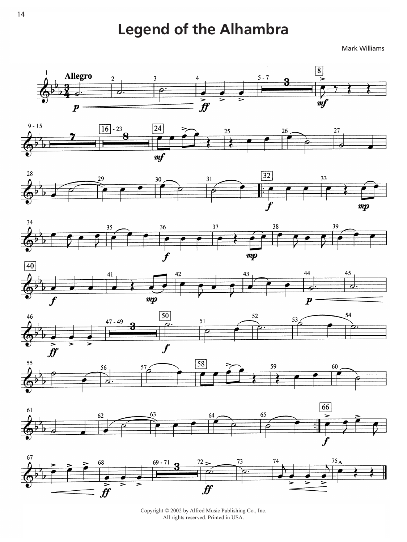# **Legend of the Alhambra**

Mark Williams



















Copyright © 2002 by Alfred Music Publishing Co., Inc. All rights reserved. Printed in USA.